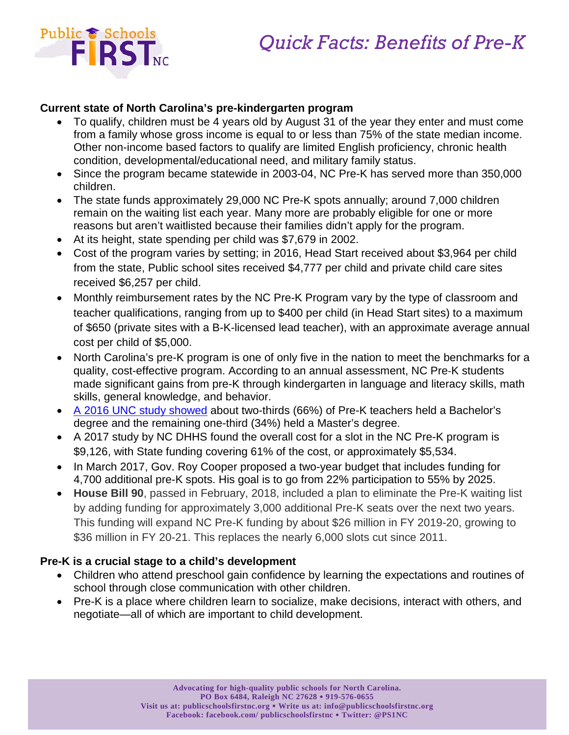

### **Current state of North Carolina's pre-kindergarten program**

- To qualify, children must be 4 years old by August 31 of the year they enter and must come from a family whose gross income is equal to or less than 75% of the state median income. Other non-income based factors to qualify are limited English proficiency, chronic health condition, developmental/educational need, and military family status.
- Since the program became statewide in 2003-04, NC Pre-K has served more than 350,000 children.
- The state funds approximately 29,000 NC Pre-K spots annually; around 7,000 children remain on the waiting list each year. Many more are probably eligible for one or more reasons but aren't waitlisted because their families didn't apply for the program.
- At its height, state spending per child was \$7,679 in 2002.
- Cost of the program varies by setting; in 2016, Head Start received about \$3,964 per child from the state, Public school sites received \$4,777 per child and private child care sites received \$6,257 per child.
- Monthly reimbursement rates by the NC Pre-K Program vary by the type of classroom and teacher qualifications, ranging from up to \$400 per child (in Head Start sites) to a maximum of \$650 (private sites with a B-K-licensed lead teacher), with an approximate average annual cost per child of \$5,000.
- North Carolina's pre-K program is one of only five in the nation to meet the benchmarks for a quality, cost-effective program. According to an annual assessment, NC Pre‐K students made significant gains from pre-K through kindergarten in language and literacy skills, math skills, general knowledge, and behavior.
- [A 2016 UNC study showed](http://ncchildcare.nc.gov/PDF_forms/2015-16_NC_Pre-K_Eval_Report.pdf) about two-thirds (66%) of Pre-K teachers held a Bachelor's degree and the remaining one-third (34%) held a Master's degree.
- A 2017 study by NC DHHS found the overall cost for a slot in the NC Pre-K program is \$9,126, with State funding covering 61% of the cost, or approximately \$5,534.
- In March 2017, Gov. Roy Cooper proposed a two-year budget that includes funding for 4,700 additional pre-K spots. His goal is to go from 22% participation to 55% by 2025.
- **House Bill 90**, passed in February, 2018, included a plan to eliminate the Pre-K waiting list by adding funding for approximately 3,000 additional Pre-K seats over the next two years. This funding will expand NC Pre-K funding by about \$26 million in FY 2019-20, growing to \$36 million in FY 20-21. This replaces the nearly 6,000 slots cut since 2011.

# **Pre-K is a crucial stage to a child's development**

- Children who attend preschool gain confidence by learning the expectations and routines of school through close communication with other children.
- Pre-K is a place where children learn to socialize, make decisions, interact with others, and negotiate—all of which are important to child development.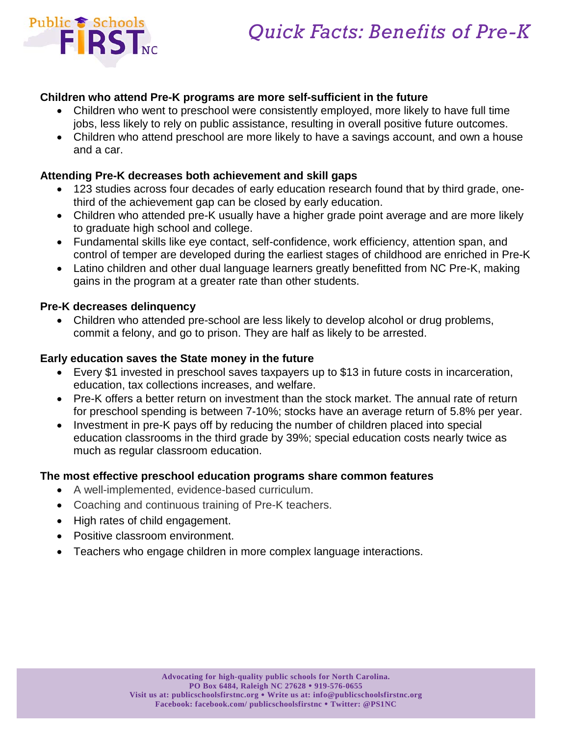



#### **Children who attend Pre-K programs are more self-sufficient in the future**

- Children who went to preschool were consistently employed, more likely to have full time jobs, less likely to rely on public assistance, resulting in overall positive future outcomes.
- Children who attend preschool are more likely to have a savings account, and own a house and a car.

#### **Attending Pre-K decreases both achievement and skill gaps**

- 123 studies across four decades of early education research found that by third grade, onethird of the achievement gap can be closed by early education.
- Children who attended pre-K usually have a higher grade point average and are more likely to graduate high school and college.
- Fundamental skills like eye contact, self-confidence, work efficiency, attention span, and control of temper are developed during the earliest stages of childhood are enriched in Pre-K
- Latino children and other dual language learners greatly benefitted from NC Pre-K, making gains in the program at a greater rate than other students.

#### **Pre-K decreases delinquency**

• Children who attended pre-school are less likely to develop alcohol or drug problems, commit a felony, and go to prison. They are half as likely to be arrested.

#### **Early education saves the State money in the future**

- Every \$1 invested in preschool saves taxpayers up to \$13 in future costs in incarceration, education, tax collections increases, and welfare.
- Pre-K offers a better return on investment than the stock market. The annual rate of return for preschool spending is between 7-10%; stocks have an average return of 5.8% per year.
- Investment in pre-K pays off by reducing the number of children placed into special education classrooms in the third grade by 39%; special education costs nearly twice as much as regular classroom education.

#### **The most effective preschool education programs share common features**

- A well-implemented, evidence-based curriculum.
- Coaching and continuous training of Pre-K teachers.
- High rates of child engagement.
- Positive classroom environment.
- Teachers who engage children in more complex language interactions.